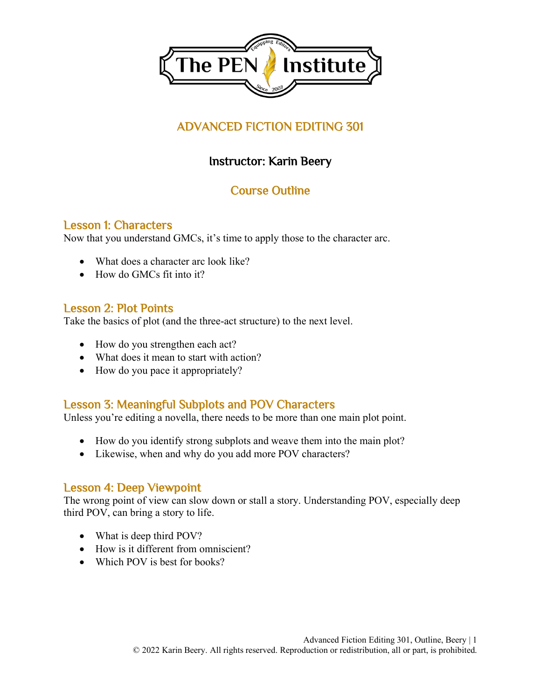

# ADVANCED FICTION EDITING 301

# Instructor: Karin Beery

### Course Outline

### Lesson 1: Characters

Now that you understand GMCs, it's time to apply those to the character arc.

- What does a character arc look like?
- How do GMCs fit into it?

#### Lesson 2: Plot Points

Take the basics of plot (and the three-act structure) to the next level.

- How do you strengthen each act?
- What does it mean to start with action?
- How do you pace it appropriately?

### Lesson 3: Meaningful Subplots and POV Characters

Unless you're editing a novella, there needs to be more than one main plot point.

- How do you identify strong subplots and weave them into the main plot?
- Likewise, when and why do you add more POV characters?

### Lesson 4: Deep Viewpoint

The wrong point of view can slow down or stall a story. Understanding POV, especially deep third POV, can bring a story to life.

- What is deep third POV?
- How is it different from omniscient?
- Which POV is best for books?